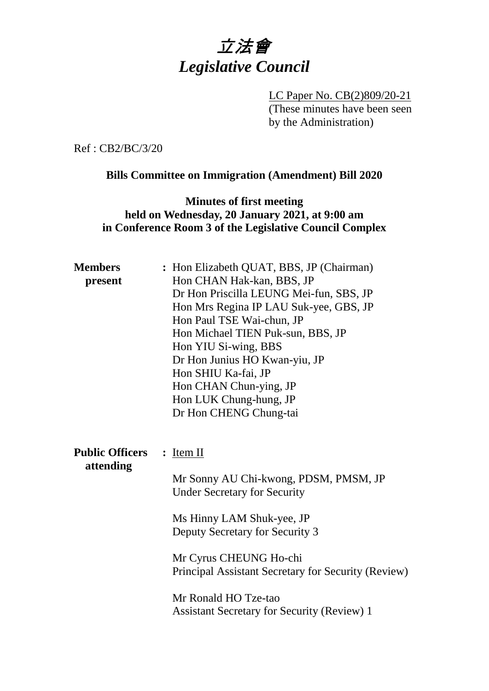

LC Paper No. CB(2)809/20-21 (These minutes have been seen by the Administration)

Ref : CB2/BC/3/20

#### **Bills Committee on Immigration (Amendment) Bill 2020**

### **Minutes of first meeting held on Wednesday, 20 January 2021, at 9:00 am in Conference Room 3 of the Legislative Council Complex**

| <b>Members</b><br>present           | : Hon Elizabeth QUAT, BBS, JP (Chairman)<br>Hon CHAN Hak-kan, BBS, JP<br>Dr Hon Priscilla LEUNG Mei-fun, SBS, JP<br>Hon Mrs Regina IP LAU Suk-yee, GBS, JP<br>Hon Paul TSE Wai-chun, JP<br>Hon Michael TIEN Puk-sun, BBS, JP<br>Hon YIU Si-wing, BBS<br>Dr Hon Junius HO Kwan-yiu, JP<br>Hon SHIU Ka-fai, JP<br>Hon CHAN Chun-ying, JP<br>Hon LUK Chung-hung, JP<br>Dr Hon CHENG Chung-tai |
|-------------------------------------|--------------------------------------------------------------------------------------------------------------------------------------------------------------------------------------------------------------------------------------------------------------------------------------------------------------------------------------------------------------------------------------------|
| <b>Public Officers</b><br>attending | : <u>Item II</u><br>Mr Sonny AU Chi-kwong, PDSM, PMSM, JP<br><b>Under Secretary for Security</b><br>Ms Hinny LAM Shuk-yee, JP<br>Deputy Secretary for Security 3<br>Mr Cyrus CHEUNG Ho-chi<br>Principal Assistant Secretary for Security (Review)<br>Mr Ronald HO Tze-tao<br><b>Assistant Secretary for Security (Review) 1</b>                                                            |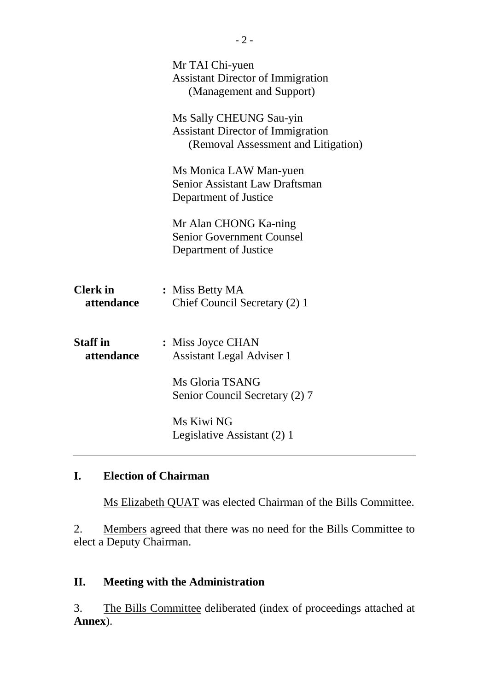|                               | Mr TAI Chi-yuen<br><b>Assistant Director of Immigration</b><br>(Management and Support)                    |
|-------------------------------|------------------------------------------------------------------------------------------------------------|
|                               | Ms Sally CHEUNG Sau-yin<br><b>Assistant Director of Immigration</b><br>(Removal Assessment and Litigation) |
|                               | Ms Monica LAW Man-yuen<br><b>Senior Assistant Law Draftsman</b><br>Department of Justice                   |
|                               | Mr Alan CHONG Ka-ning<br><b>Senior Government Counsel</b><br>Department of Justice                         |
| <b>Clerk</b> in<br>attendance | : Miss Betty MA<br>Chief Council Secretary (2) 1                                                           |
| <b>Staff</b> in<br>attendance | : Miss Joyce CHAN<br><b>Assistant Legal Adviser 1</b>                                                      |
|                               | Ms Gloria TSANG<br>Senior Council Secretary (2) 7                                                          |
|                               | Ms Kiwi NG<br>Legislative Assistant (2) 1                                                                  |

# **I. Election of Chairman**

Ms Elizabeth QUAT was elected Chairman of the Bills Committee.

2. Members agreed that there was no need for the Bills Committee to elect a Deputy Chairman.

# **II. Meeting with the Administration**

3. The Bills Committee deliberated (index of proceedings attached at **Annex**).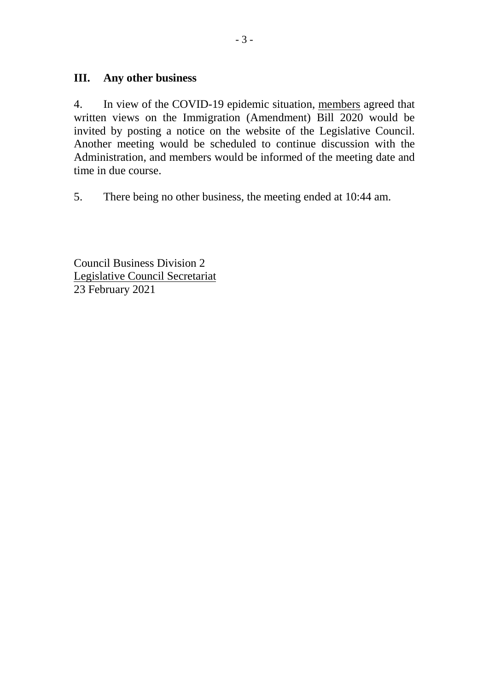### **III. Any other business**

4. In view of the COVID-19 epidemic situation, members agreed that written views on the Immigration (Amendment) Bill 2020 would be invited by posting a notice on the website of the Legislative Council. Another meeting would be scheduled to continue discussion with the Administration, and members would be informed of the meeting date and time in due course.

5. There being no other business, the meeting ended at 10:44 am.

Council Business Division 2 Legislative Council Secretariat 23 February 2021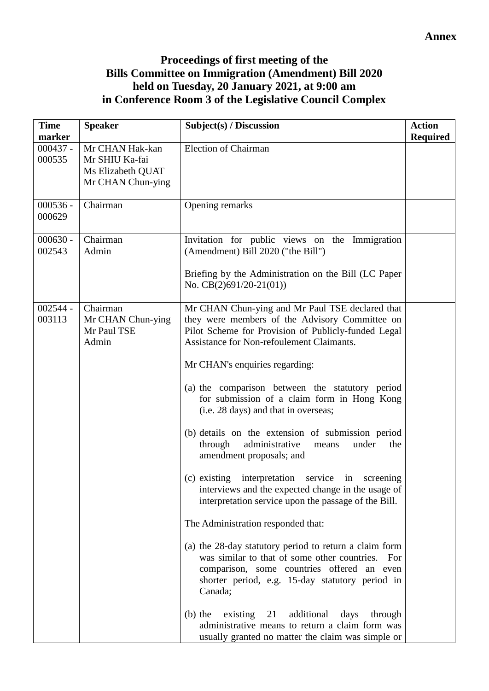### **Annex**

### **Proceedings of first meeting of the Bills Committee on Immigration (Amendment) Bill 2020 held on Tuesday, 20 January 2021, at 9:00 am in Conference Room 3 of the Legislative Council Complex**

| <b>Time</b><br>marker | <b>Speaker</b>                                                              | Subject(s) / Discussion                                                                                                                                                                                                                                                                                                                                                                                                                                                                                                                                                                                                                                                                                                                                                                                                                                                                                                                                                                                                                                                                                                                        | <b>Action</b>   |
|-----------------------|-----------------------------------------------------------------------------|------------------------------------------------------------------------------------------------------------------------------------------------------------------------------------------------------------------------------------------------------------------------------------------------------------------------------------------------------------------------------------------------------------------------------------------------------------------------------------------------------------------------------------------------------------------------------------------------------------------------------------------------------------------------------------------------------------------------------------------------------------------------------------------------------------------------------------------------------------------------------------------------------------------------------------------------------------------------------------------------------------------------------------------------------------------------------------------------------------------------------------------------|-----------------|
| $000437 -$<br>000535  | Mr CHAN Hak-kan<br>Mr SHIU Ka-fai<br>Ms Elizabeth QUAT<br>Mr CHAN Chun-ying | <b>Election of Chairman</b>                                                                                                                                                                                                                                                                                                                                                                                                                                                                                                                                                                                                                                                                                                                                                                                                                                                                                                                                                                                                                                                                                                                    | <b>Required</b> |
| $000536 -$<br>000629  | Chairman                                                                    | Opening remarks                                                                                                                                                                                                                                                                                                                                                                                                                                                                                                                                                                                                                                                                                                                                                                                                                                                                                                                                                                                                                                                                                                                                |                 |
| $000630 -$<br>002543  | Chairman<br>Admin                                                           | Invitation for public views on the Immigration<br>(Amendment) Bill 2020 ("the Bill")<br>Briefing by the Administration on the Bill (LC Paper<br>No. $CB(2)691/20-21(01)$                                                                                                                                                                                                                                                                                                                                                                                                                                                                                                                                                                                                                                                                                                                                                                                                                                                                                                                                                                       |                 |
| $002544 -$<br>003113  | Chairman<br>Mr CHAN Chun-ying<br>Mr Paul TSE<br>Admin                       | Mr CHAN Chun-ying and Mr Paul TSE declared that<br>they were members of the Advisory Committee on<br>Pilot Scheme for Provision of Publicly-funded Legal<br>Assistance for Non-refoulement Claimants.<br>Mr CHAN's enquiries regarding:<br>(a) the comparison between the statutory period<br>for submission of a claim form in Hong Kong<br>(i.e. 28 days) and that in overseas;<br>(b) details on the extension of submission period<br>administrative<br>through<br>under<br>the<br>means<br>amendment proposals; and<br>$(c)$ existing<br>interpretation<br>service<br>in<br>screening<br>interviews and the expected change in the usage of<br>interpretation service upon the passage of the Bill.<br>The Administration responded that:<br>(a) the 28-day statutory period to return a claim form<br>was similar to that of some other countries.<br>For<br>comparison, some countries offered an even<br>shorter period, e.g. 15-day statutory period in<br>Canada;<br>21<br>additional<br>(b) the existing<br>days<br>through<br>administrative means to return a claim form was<br>usually granted no matter the claim was simple or |                 |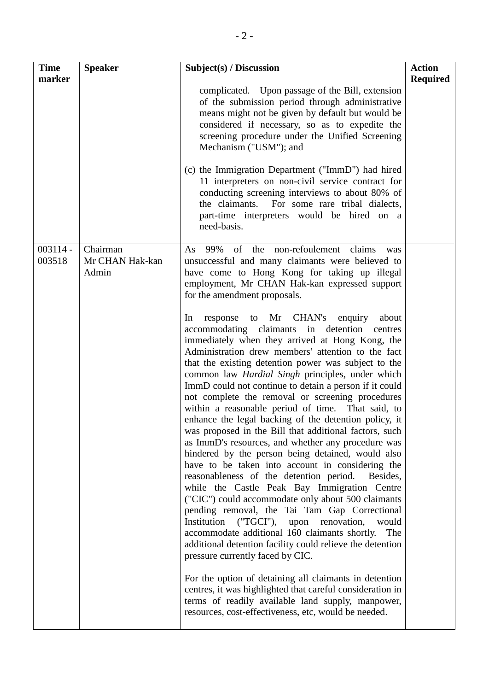| <b>Time</b><br>marker | <b>Speaker</b>                       | Subject(s) / Discussion                                                                                                                                                                                                                                                                                                                                                                                                                                                                                                                                                                                                                                                                                                                                                                                                                                                                                                                                                                                                                                                                                                                                                                                                                                                                                                                                                                                                                        | <b>Action</b><br><b>Required</b> |
|-----------------------|--------------------------------------|------------------------------------------------------------------------------------------------------------------------------------------------------------------------------------------------------------------------------------------------------------------------------------------------------------------------------------------------------------------------------------------------------------------------------------------------------------------------------------------------------------------------------------------------------------------------------------------------------------------------------------------------------------------------------------------------------------------------------------------------------------------------------------------------------------------------------------------------------------------------------------------------------------------------------------------------------------------------------------------------------------------------------------------------------------------------------------------------------------------------------------------------------------------------------------------------------------------------------------------------------------------------------------------------------------------------------------------------------------------------------------------------------------------------------------------------|----------------------------------|
|                       |                                      | complicated. Upon passage of the Bill, extension<br>of the submission period through administrative<br>means might not be given by default but would be<br>considered if necessary, so as to expedite the<br>screening procedure under the Unified Screening<br>Mechanism ("USM"); and                                                                                                                                                                                                                                                                                                                                                                                                                                                                                                                                                                                                                                                                                                                                                                                                                                                                                                                                                                                                                                                                                                                                                         |                                  |
|                       |                                      | (c) the Immigration Department ("ImmD") had hired<br>11 interpreters on non-civil service contract for<br>conducting screening interviews to about 80% of<br>the claimants. For some rare tribal dialects,<br>part-time interpreters would be hired on a<br>need-basis.                                                                                                                                                                                                                                                                                                                                                                                                                                                                                                                                                                                                                                                                                                                                                                                                                                                                                                                                                                                                                                                                                                                                                                        |                                  |
| $003114 -$<br>003518  | Chairman<br>Mr CHAN Hak-kan<br>Admin | As 99% of the non-refoulement claims<br>was<br>unsuccessful and many claimants were believed to<br>have come to Hong Kong for taking up illegal<br>employment, Mr CHAN Hak-kan expressed support<br>for the amendment proposals.                                                                                                                                                                                                                                                                                                                                                                                                                                                                                                                                                                                                                                                                                                                                                                                                                                                                                                                                                                                                                                                                                                                                                                                                               |                                  |
|                       |                                      | response to Mr CHAN's<br>enquiry<br>about<br>In<br>accommodating claimants in detention centres<br>immediately when they arrived at Hong Kong, the<br>Administration drew members' attention to the fact<br>that the existing detention power was subject to the<br>common law <i>Hardial Singh</i> principles, under which<br>ImmD could not continue to detain a person if it could<br>not complete the removal or screening procedures<br>within a reasonable period of time. That said, to<br>enhance the legal backing of the detention policy, it<br>was proposed in the Bill that additional factors, such<br>as ImmD's resources, and whether any procedure was<br>hindered by the person being detained, would also<br>have to be taken into account in considering the<br>reasonableness of the detention period.<br>Besides,<br>while the Castle Peak Bay Immigration Centre<br>("CIC") could accommodate only about 500 claimants<br>pending removal, the Tai Tam Gap Correctional<br>Institution ("TGCI"), upon renovation,<br>would<br>accommodate additional 160 claimants shortly.<br>The<br>additional detention facility could relieve the detention<br>pressure currently faced by CIC.<br>For the option of detaining all claimants in detention<br>centres, it was highlighted that careful consideration in<br>terms of readily available land supply, manpower,<br>resources, cost-effectiveness, etc, would be needed. |                                  |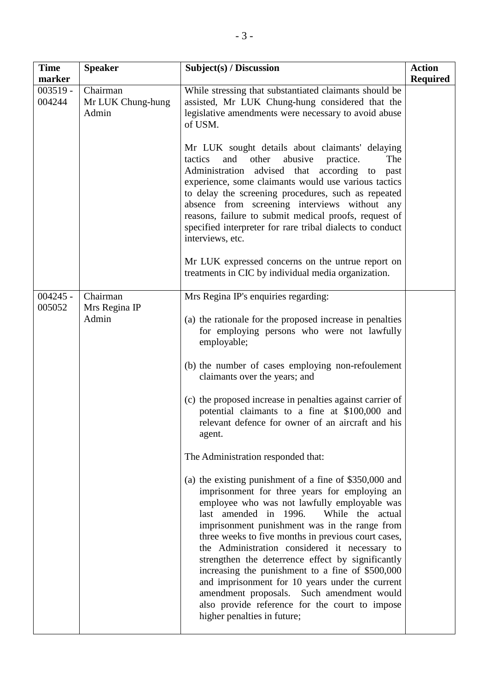| <b>Time</b><br>marker | <b>Speaker</b>                         | Subject(s) / Discussion                                                                                                                                                                                                                                                                                                                                                                                                                                                                                                                                                                                                                                 | <b>Action</b><br><b>Required</b> |
|-----------------------|----------------------------------------|---------------------------------------------------------------------------------------------------------------------------------------------------------------------------------------------------------------------------------------------------------------------------------------------------------------------------------------------------------------------------------------------------------------------------------------------------------------------------------------------------------------------------------------------------------------------------------------------------------------------------------------------------------|----------------------------------|
| $003519 -$<br>004244  | Chairman<br>Mr LUK Chung-hung<br>Admin | While stressing that substantiated claimants should be<br>assisted, Mr LUK Chung-hung considered that the<br>legislative amendments were necessary to avoid abuse<br>of USM.                                                                                                                                                                                                                                                                                                                                                                                                                                                                            |                                  |
|                       |                                        | Mr LUK sought details about claimants' delaying<br>other<br>abusive<br>tactics<br>practice.<br>The<br>and<br>Administration advised that according to<br>past<br>experience, some claimants would use various tactics<br>to delay the screening procedures, such as repeated<br>absence from screening interviews without any<br>reasons, failure to submit medical proofs, request of<br>specified interpreter for rare tribal dialects to conduct<br>interviews, etc.                                                                                                                                                                                 |                                  |
|                       |                                        | Mr LUK expressed concerns on the untrue report on<br>treatments in CIC by individual media organization.                                                                                                                                                                                                                                                                                                                                                                                                                                                                                                                                                |                                  |
| $004245 -$<br>005052  | Chairman<br>Mrs Regina IP              | Mrs Regina IP's enquiries regarding:                                                                                                                                                                                                                                                                                                                                                                                                                                                                                                                                                                                                                    |                                  |
|                       | Admin                                  | (a) the rationale for the proposed increase in penalties<br>for employing persons who were not lawfully<br>employable;                                                                                                                                                                                                                                                                                                                                                                                                                                                                                                                                  |                                  |
|                       |                                        | (b) the number of cases employing non-refoulement<br>claimants over the years; and                                                                                                                                                                                                                                                                                                                                                                                                                                                                                                                                                                      |                                  |
|                       |                                        | (c) the proposed increase in penalties against carrier of<br>potential claimants to a fine at \$100,000 and<br>relevant defence for owner of an aircraft and his<br>agent.                                                                                                                                                                                                                                                                                                                                                                                                                                                                              |                                  |
|                       |                                        | The Administration responded that:                                                                                                                                                                                                                                                                                                                                                                                                                                                                                                                                                                                                                      |                                  |
|                       |                                        | (a) the existing punishment of a fine of \$350,000 and<br>imprisonment for three years for employing an<br>employee who was not lawfully employable was<br>While the actual<br>last amended in 1996.<br>imprisonment punishment was in the range from<br>three weeks to five months in previous court cases,<br>the Administration considered it necessary to<br>strengthen the deterrence effect by significantly<br>increasing the punishment to a fine of \$500,000<br>and imprisonment for 10 years under the current<br>amendment proposals. Such amendment would<br>also provide reference for the court to impose<br>higher penalties in future; |                                  |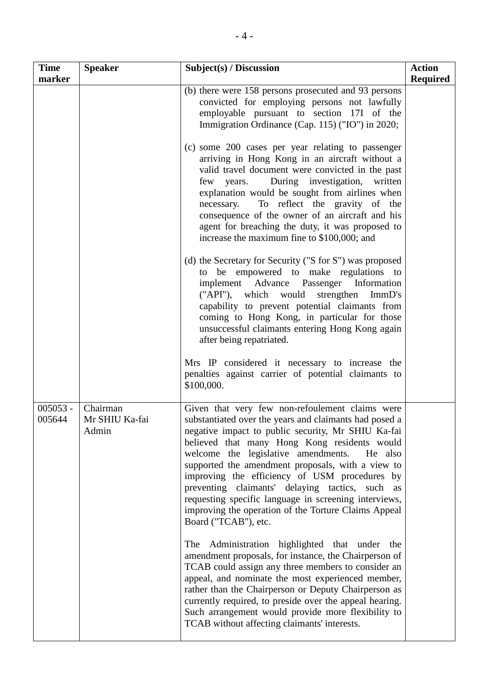| <b>Time</b><br>marker | <b>Speaker</b>                      | Subject(s) / Discussion                                                                                                                                                                                                                                                                                                                                                                                                                                                                                                                                                | <b>Action</b><br><b>Required</b> |
|-----------------------|-------------------------------------|------------------------------------------------------------------------------------------------------------------------------------------------------------------------------------------------------------------------------------------------------------------------------------------------------------------------------------------------------------------------------------------------------------------------------------------------------------------------------------------------------------------------------------------------------------------------|----------------------------------|
|                       |                                     | (b) there were 158 persons prosecuted and 93 persons<br>convicted for employing persons not lawfully<br>employable pursuant to section 17I of the<br>Immigration Ordinance (Cap. 115) ("IO") in 2020;                                                                                                                                                                                                                                                                                                                                                                  |                                  |
|                       |                                     | (c) some 200 cases per year relating to passenger<br>arriving in Hong Kong in an aircraft without a<br>valid travel document were convicted in the past<br>During investigation, written<br>few years.<br>explanation would be sought from airlines when<br>To reflect the gravity of the<br>necessary.<br>consequence of the owner of an aircraft and his<br>agent for breaching the duty, it was proposed to<br>increase the maximum fine to \$100,000; and                                                                                                          |                                  |
|                       |                                     | (d) the Secretary for Security ("S for S") was proposed<br>to be empowered to make regulations to<br>implement Advance Passenger Information<br>("API"), which would strengthen<br>ImmD's<br>capability to prevent potential claimants from<br>coming to Hong Kong, in particular for those<br>unsuccessful claimants entering Hong Kong again<br>after being repatriated.                                                                                                                                                                                             |                                  |
|                       |                                     | Mrs IP considered it necessary to increase the<br>penalties against carrier of potential claimants to<br>\$100,000.                                                                                                                                                                                                                                                                                                                                                                                                                                                    |                                  |
| $005053 -$<br>005644  | Chairman<br>Mr SHIU Ka-fai<br>Admin | Given that very few non-refoulement claims were<br>substantiated over the years and claimants had posed a<br>negative impact to public security, Mr SHIU Ka-fai<br>believed that many Hong Kong residents would<br>welcome the legislative amendments.<br>He also<br>supported the amendment proposals, with a view to<br>improving the efficiency of USM procedures by<br>preventing claimants' delaying tactics, such<br>as<br>requesting specific language in screening interviews,<br>improving the operation of the Torture Claims Appeal<br>Board ("TCAB"), etc. |                                  |
|                       |                                     | The Administration highlighted that under<br>the<br>amendment proposals, for instance, the Chairperson of<br>TCAB could assign any three members to consider an<br>appeal, and nominate the most experienced member,<br>rather than the Chairperson or Deputy Chairperson as<br>currently required, to preside over the appeal hearing.<br>Such arrangement would provide more flexibility to<br>TCAB without affecting claimants' interests.                                                                                                                          |                                  |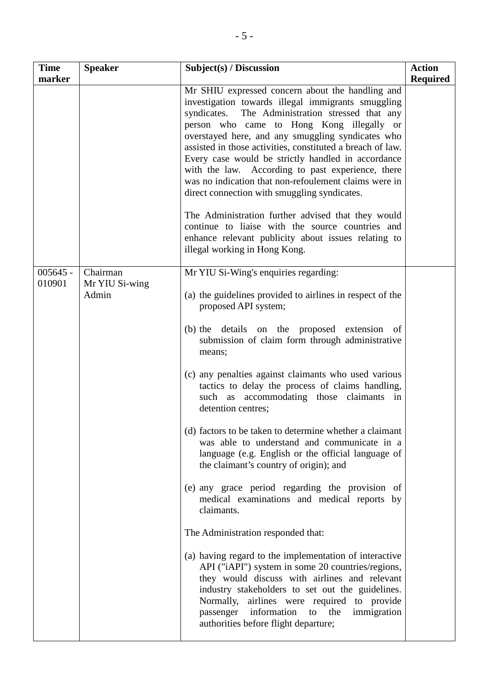| <b>Time</b><br>marker | <b>Speaker</b>                      | Subject(s) / Discussion                                                                                                                                                                                                                                                                                                                                                                                                                                                                                                                                                                                                                                                                                                                             | <b>Action</b>   |
|-----------------------|-------------------------------------|-----------------------------------------------------------------------------------------------------------------------------------------------------------------------------------------------------------------------------------------------------------------------------------------------------------------------------------------------------------------------------------------------------------------------------------------------------------------------------------------------------------------------------------------------------------------------------------------------------------------------------------------------------------------------------------------------------------------------------------------------------|-----------------|
|                       |                                     | Mr SHIU expressed concern about the handling and<br>investigation towards illegal immigrants smuggling<br>The Administration stressed that any<br>syndicates.<br>person who came to Hong Kong illegally or<br>overstayed here, and any smuggling syndicates who<br>assisted in those activities, constituted a breach of law.<br>Every case would be strictly handled in accordance<br>with the law. According to past experience, there<br>was no indication that non-refoulement claims were in<br>direct connection with smuggling syndicates.<br>The Administration further advised that they would<br>continue to liaise with the source countries and<br>enhance relevant publicity about issues relating to<br>illegal working in Hong Kong. | <b>Required</b> |
| $005645 -$<br>010901  | Chairman<br>Mr YIU Si-wing<br>Admin | Mr YIU Si-Wing's enquiries regarding:<br>(a) the guidelines provided to airlines in respect of the                                                                                                                                                                                                                                                                                                                                                                                                                                                                                                                                                                                                                                                  |                 |
|                       |                                     | proposed API system;                                                                                                                                                                                                                                                                                                                                                                                                                                                                                                                                                                                                                                                                                                                                |                 |
|                       |                                     | (b) the details on the proposed extension of<br>submission of claim form through administrative<br>means;                                                                                                                                                                                                                                                                                                                                                                                                                                                                                                                                                                                                                                           |                 |
|                       |                                     | (c) any penalties against claimants who used various<br>tactics to delay the process of claims handling,<br>such as accommodating those claimants in<br>detention centres;                                                                                                                                                                                                                                                                                                                                                                                                                                                                                                                                                                          |                 |
|                       |                                     | (d) factors to be taken to determine whether a claimant<br>was able to understand and communicate in a<br>language (e.g. English or the official language of<br>the claimant's country of origin); and                                                                                                                                                                                                                                                                                                                                                                                                                                                                                                                                              |                 |
|                       |                                     | (e) any grace period regarding the provision of<br>medical examinations and medical reports by<br>claimants.                                                                                                                                                                                                                                                                                                                                                                                                                                                                                                                                                                                                                                        |                 |
|                       |                                     | The Administration responded that:                                                                                                                                                                                                                                                                                                                                                                                                                                                                                                                                                                                                                                                                                                                  |                 |
|                       |                                     | (a) having regard to the implementation of interactive<br>API ("iAPI") system in some 20 countries/regions,<br>they would discuss with airlines and relevant<br>industry stakeholders to set out the guidelines.<br>Normally, airlines were required to provide<br>information<br>passenger<br>to the<br>immigration<br>authorities before flight departure;                                                                                                                                                                                                                                                                                                                                                                                        |                 |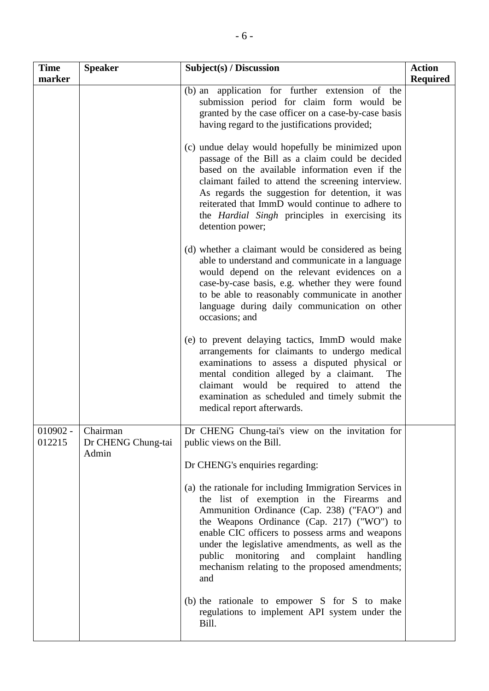| <b>Time</b><br>marker | <b>Speaker</b>                          | Subject(s) / Discussion                                                                                                                                                                                                                                                                                                                                                                                          | <b>Action</b><br><b>Required</b> |
|-----------------------|-----------------------------------------|------------------------------------------------------------------------------------------------------------------------------------------------------------------------------------------------------------------------------------------------------------------------------------------------------------------------------------------------------------------------------------------------------------------|----------------------------------|
|                       |                                         | (b) an application for further extension of the<br>submission period for claim form would be<br>granted by the case officer on a case-by-case basis<br>having regard to the justifications provided;                                                                                                                                                                                                             |                                  |
|                       |                                         | (c) undue delay would hopefully be minimized upon<br>passage of the Bill as a claim could be decided<br>based on the available information even if the<br>claimant failed to attend the screening interview.<br>As regards the suggestion for detention, it was<br>reiterated that ImmD would continue to adhere to<br>the <i>Hardial</i> Singh principles in exercising its<br>detention power;                 |                                  |
|                       |                                         | (d) whether a claimant would be considered as being<br>able to understand and communicate in a language<br>would depend on the relevant evidences on a<br>case-by-case basis, e.g. whether they were found<br>to be able to reasonably communicate in another<br>language during daily communication on other<br>occasions; and                                                                                  |                                  |
|                       |                                         | (e) to prevent delaying tactics, ImmD would make<br>arrangements for claimants to undergo medical<br>examinations to assess a disputed physical or<br>mental condition alleged by a claimant.<br>The<br>claimant would be required to attend the<br>examination as scheduled and timely submit the<br>medical report afterwards.                                                                                 |                                  |
| $010902 -$<br>012215  | Chairman<br>Dr CHENG Chung-tai<br>Admin | Dr CHENG Chung-tai's view on the invitation for<br>public views on the Bill.<br>Dr CHENG's enquiries regarding:                                                                                                                                                                                                                                                                                                  |                                  |
|                       |                                         | (a) the rationale for including Immigration Services in<br>the list of exemption in the Firearms<br>and<br>Ammunition Ordinance (Cap. 238) ("FAO") and<br>the Weapons Ordinance (Cap. 217) ("WO") to<br>enable CIC officers to possess arms and weapons<br>under the legislative amendments, as well as the<br>public monitoring and complaint handling<br>mechanism relating to the proposed amendments;<br>and |                                  |
|                       |                                         | (b) the rationale to empower S for S to make<br>regulations to implement API system under the<br>Bill.                                                                                                                                                                                                                                                                                                           |                                  |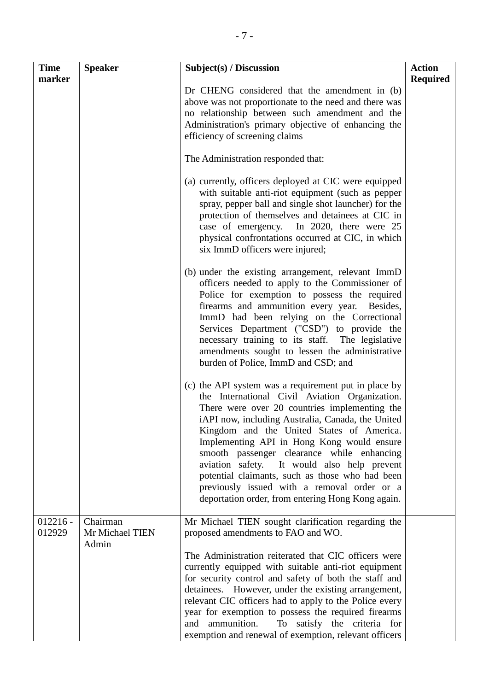| <b>Time</b><br>marker | <b>Speaker</b>              | Subject(s) / Discussion                                                                                                                                                                                                                                                                                                                                                                                                                                                                                                                                     | <b>Action</b><br><b>Required</b> |
|-----------------------|-----------------------------|-------------------------------------------------------------------------------------------------------------------------------------------------------------------------------------------------------------------------------------------------------------------------------------------------------------------------------------------------------------------------------------------------------------------------------------------------------------------------------------------------------------------------------------------------------------|----------------------------------|
|                       |                             | Dr CHENG considered that the amendment in (b)<br>above was not proportionate to the need and there was<br>no relationship between such amendment and the<br>Administration's primary objective of enhancing the<br>efficiency of screening claims                                                                                                                                                                                                                                                                                                           |                                  |
|                       |                             | The Administration responded that:                                                                                                                                                                                                                                                                                                                                                                                                                                                                                                                          |                                  |
|                       |                             | (a) currently, officers deployed at CIC were equipped<br>with suitable anti-riot equipment (such as pepper<br>spray, pepper ball and single shot launcher) for the<br>protection of themselves and detainees at CIC in<br>case of emergency. In 2020, there were 25<br>physical confrontations occurred at CIC, in which<br>six ImmD officers were injured;                                                                                                                                                                                                 |                                  |
|                       |                             | (b) under the existing arrangement, relevant ImmD<br>officers needed to apply to the Commissioner of<br>Police for exemption to possess the required<br>firearms and ammunition every year.<br>Besides,<br>ImmD had been relying on the Correctional<br>Services Department ("CSD") to provide the<br>necessary training to its staff. The legislative<br>amendments sought to lessen the administrative<br>burden of Police, ImmD and CSD; and                                                                                                             |                                  |
|                       |                             | (c) the API system was a requirement put in place by<br>the International Civil Aviation Organization.<br>There were over 20 countries implementing the<br>iAPI now, including Australia, Canada, the United<br>Kingdom and the United States of America.<br>Implementing API in Hong Kong would ensure<br>smooth passenger clearance while enhancing<br>aviation safety. It would also help prevent<br>potential claimants, such as those who had been<br>previously issued with a removal order or a<br>deportation order, from entering Hong Kong again. |                                  |
| $012216 -$<br>012929  | Chairman<br>Mr Michael TIEN | Mr Michael TIEN sought clarification regarding the<br>proposed amendments to FAO and WO.                                                                                                                                                                                                                                                                                                                                                                                                                                                                    |                                  |
|                       | Admin                       | The Administration reiterated that CIC officers were<br>currently equipped with suitable anti-riot equipment<br>for security control and safety of both the staff and<br>detainees. However, under the existing arrangement,<br>relevant CIC officers had to apply to the Police every<br>year for exemption to possess the required firearms<br>ammunition.<br>To satisfy the criteria for<br>and<br>exemption and renewal of exemption, relevant officers                                                                                                 |                                  |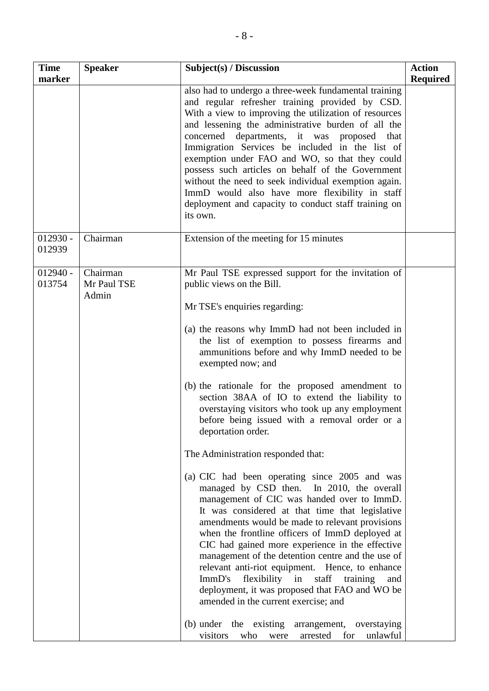| <b>Time</b>          | <b>Speaker</b>                   | Subject(s) / Discussion                                                                                                                                                                                                                                                                                                                                                                                                                                                                                                                                                                                                                                                                                                                                                                                                                                                                                                                                                                                                                                                                                                                                                                                                                                                                                  | <b>Action</b>   |
|----------------------|----------------------------------|----------------------------------------------------------------------------------------------------------------------------------------------------------------------------------------------------------------------------------------------------------------------------------------------------------------------------------------------------------------------------------------------------------------------------------------------------------------------------------------------------------------------------------------------------------------------------------------------------------------------------------------------------------------------------------------------------------------------------------------------------------------------------------------------------------------------------------------------------------------------------------------------------------------------------------------------------------------------------------------------------------------------------------------------------------------------------------------------------------------------------------------------------------------------------------------------------------------------------------------------------------------------------------------------------------|-----------------|
| marker               |                                  | also had to undergo a three-week fundamental training<br>and regular refresher training provided by CSD.<br>With a view to improving the utilization of resources<br>and lessening the administrative burden of all the<br>concerned departments, it was proposed that<br>Immigration Services be included in the list of<br>exemption under FAO and WO, so that they could<br>possess such articles on behalf of the Government<br>without the need to seek individual exemption again.<br>ImmD would also have more flexibility in staff<br>deployment and capacity to conduct staff training on<br>its own.                                                                                                                                                                                                                                                                                                                                                                                                                                                                                                                                                                                                                                                                                           | <b>Required</b> |
| $012930 -$<br>012939 | Chairman                         | Extension of the meeting for 15 minutes                                                                                                                                                                                                                                                                                                                                                                                                                                                                                                                                                                                                                                                                                                                                                                                                                                                                                                                                                                                                                                                                                                                                                                                                                                                                  |                 |
| $012940 -$<br>013754 | Chairman<br>Mr Paul TSE<br>Admin | Mr Paul TSE expressed support for the invitation of<br>public views on the Bill.<br>Mr TSE's enquiries regarding:<br>(a) the reasons why ImmD had not been included in<br>the list of exemption to possess firearms and<br>ammunitions before and why ImmD needed to be<br>exempted now; and<br>(b) the rationale for the proposed amendment to<br>section 38AA of IO to extend the liability to<br>overstaying visitors who took up any employment<br>before being issued with a removal order or a<br>deportation order.<br>The Administration responded that:<br>(a) CIC had been operating since 2005 and was<br>managed by CSD then.<br>In 2010, the overall<br>management of CIC was handed over to ImmD.<br>It was considered at that time that legislative<br>amendments would be made to relevant provisions<br>when the frontline officers of ImmD deployed at<br>CIC had gained more experience in the effective<br>management of the detention centre and the use of<br>relevant anti-riot equipment. Hence, to enhance<br>ImmD's<br>flexibility in<br>staff<br>training<br>and<br>deployment, it was proposed that FAO and WO be<br>amended in the current exercise; and<br>(b) under the existing<br>arrangement,<br>overstaying<br>for<br>unlawful<br>visitors<br>arrested<br>who<br>were |                 |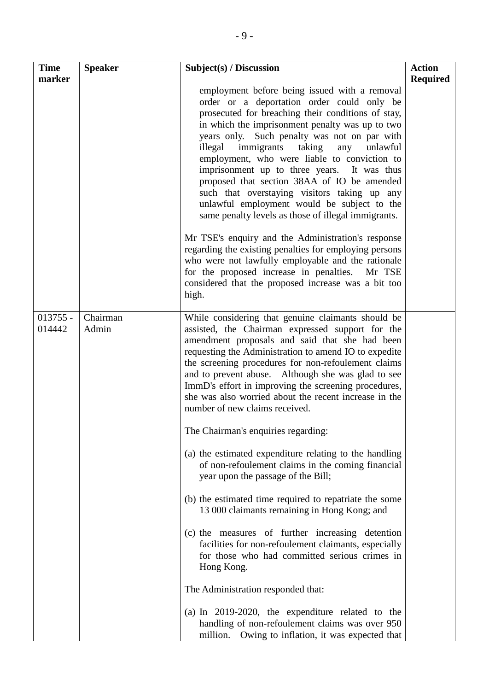| <b>Time</b><br>marker | <b>Speaker</b>    | Subject(s) / Discussion                                                                                                                                                                                                                                                                                                                                                                                                                                                                                                                                                                                                                                                                                                                                                                                                                                                                          | <b>Action</b><br><b>Required</b> |
|-----------------------|-------------------|--------------------------------------------------------------------------------------------------------------------------------------------------------------------------------------------------------------------------------------------------------------------------------------------------------------------------------------------------------------------------------------------------------------------------------------------------------------------------------------------------------------------------------------------------------------------------------------------------------------------------------------------------------------------------------------------------------------------------------------------------------------------------------------------------------------------------------------------------------------------------------------------------|----------------------------------|
|                       |                   | employment before being issued with a removal<br>order or a deportation order could only be<br>prosecuted for breaching their conditions of stay,<br>in which the imprisonment penalty was up to two<br>years only. Such penalty was not on par with<br>illegal immigrants taking<br>any<br>unlawful<br>employment, who were liable to conviction to<br>imprisonment up to three years. It was thus<br>proposed that section 38AA of IO be amended<br>such that overstaying visitors taking up any<br>unlawful employment would be subject to the<br>same penalty levels as those of illegal immigrants.<br>Mr TSE's enquiry and the Administration's response<br>regarding the existing penalties for employing persons<br>who were not lawfully employable and the rationale<br>for the proposed increase in penalties. Mr TSE<br>considered that the proposed increase was a bit too<br>high. |                                  |
| $013755 -$<br>014442  | Chairman<br>Admin | While considering that genuine claimants should be<br>assisted, the Chairman expressed support for the<br>amendment proposals and said that she had been<br>requesting the Administration to amend IO to expedite<br>the screening procedures for non-refoulement claims<br>and to prevent abuse. Although she was glad to see<br>ImmD's effort in improving the screening procedures,<br>she was also worried about the recent increase in the<br>number of new claims received.<br>The Chairman's enquiries regarding:                                                                                                                                                                                                                                                                                                                                                                         |                                  |
|                       |                   | (a) the estimated expenditure relating to the handling<br>of non-refoulement claims in the coming financial<br>year upon the passage of the Bill;<br>(b) the estimated time required to repatriate the some<br>13 000 claimants remaining in Hong Kong; and                                                                                                                                                                                                                                                                                                                                                                                                                                                                                                                                                                                                                                      |                                  |
|                       |                   | (c) the measures of further increasing detention<br>facilities for non-refoulement claimants, especially<br>for those who had committed serious crimes in<br>Hong Kong.                                                                                                                                                                                                                                                                                                                                                                                                                                                                                                                                                                                                                                                                                                                          |                                  |
|                       |                   | The Administration responded that:<br>(a) In $2019-2020$ , the expenditure related to the<br>handling of non-refoulement claims was over 950<br>Owing to inflation, it was expected that<br>million.                                                                                                                                                                                                                                                                                                                                                                                                                                                                                                                                                                                                                                                                                             |                                  |